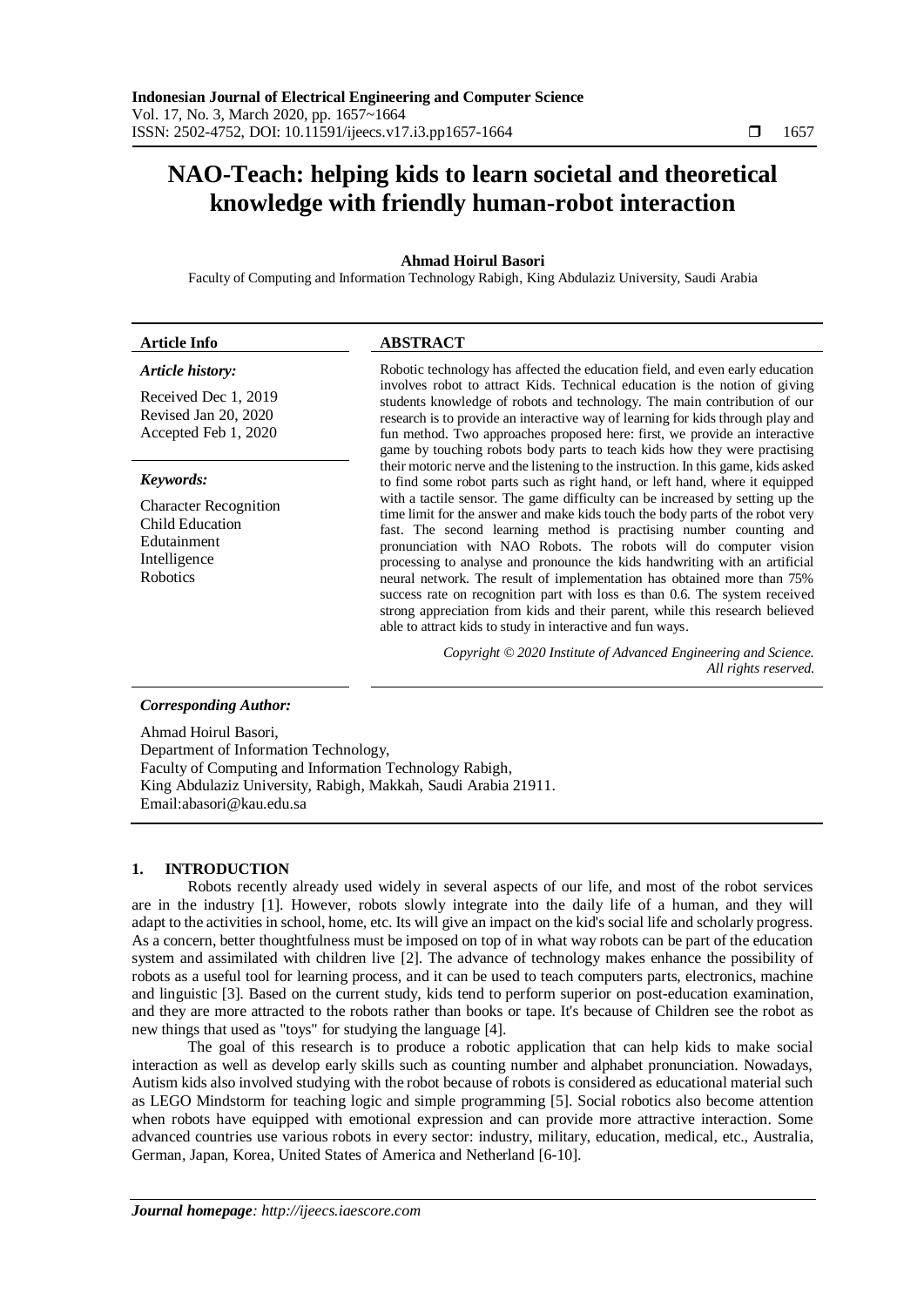# **NAO-Teach: helping kids to learn societal and theoretical knowledge with friendly human-robot interaction**

## **Ahmad Hoirul Basori**

Faculty of Computing and Information Technology Rabigh, King Abdulaziz University, Saudi Arabia

| <b>Article Info</b>                                                            | <b>ABSTRACT</b>                                                                                                                                                                                                                                                                                                                                                                                        |
|--------------------------------------------------------------------------------|--------------------------------------------------------------------------------------------------------------------------------------------------------------------------------------------------------------------------------------------------------------------------------------------------------------------------------------------------------------------------------------------------------|
| <b>Article history:</b>                                                        | Robotic technology has affected the education field, and even early education                                                                                                                                                                                                                                                                                                                          |
| Received Dec 1, 2019<br>Revised Jan 20, 2020<br>Accepted Feb 1, 2020           | involves robot to attract Kids. Technical education is the notion of giving<br>students knowledge of robots and technology. The main contribution of our<br>research is to provide an interactive way of learning for kids through play and<br>fun method. Two approaches proposed here: first, we provide an interactive<br>game by touching robots body parts to teach kids how they were practising |
| Keywords:                                                                      | their motoric nerve and the listening to the instruction. In this game, kids asked<br>to find some robot parts such as right hand, or left hand, where it equipped                                                                                                                                                                                                                                     |
| <b>Character Recognition</b><br>Child Education<br>Edutainment<br>Intelligence | with a tactile sensor. The game difficulty can be increased by setting up the<br>time limit for the answer and make kids touch the body parts of the robot very<br>fast. The second learning method is practising number counting and<br>pronunciation with NAO Robots. The robots will do computer vision<br>processing to analyse and pronounce the kids handwriting with an artificial              |

neural network. The result of implementation has obtained more than 75% success rate on recognition part with loss es than 0.6. The system received strong appreciation from kids and their parent, while this research believed

*Copyright © 2020 Institute of Advanced Engineering and Science.* 

able to attract kids to study in interactive and fun ways.

*Corresponding Author:*

Robotics

Ahmad Hoirul Basori, Department of Information Technology, Faculty of Computing and Information Technology Rabigh, King Abdulaziz University, Rabigh, Makkah, Saudi Arabia 21911. Email:abasori@kau.edu.sa

#### **1. INTRODUCTION**

Robots recently already used widely in several aspects of our life, and most of the robot services are in the industry [1]. However, robots slowly integrate into the daily life of a human, and they will adapt to the activities in school, home, etc. Its will give an impact on the kid's social life and scholarly progress. As a concern, better thoughtfulness must be imposed on top of in what way robots can be part of the education system and assimilated with children live [2]. The advance of technology makes enhance the possibility of robots as a useful tool for learning process, and it can be used to teach computers parts, electronics, machine and linguistic [3]. Based on the current study, kids tend to perform superior on post-education examination, and they are more attracted to the robots rather than books or tape. It's because of Children see the robot as new things that used as "toys" for studying the language [4].

The goal of this research is to produce a robotic application that can help kids to make social interaction as well as develop early skills such as counting number and alphabet pronunciation. Nowadays, Autism kids also involved studying with the robot because of robots is considered as educational material such as LEGO Mindstorm for teaching logic and simple programming [5]. Social robotics also become attention when robots have equipped with emotional expression and can provide more attractive interaction. Some advanced countries use various robots in every sector: industry, military, education, medical, etc., Australia, German, Japan, Korea, United States of America and Netherland [6-10].

*All rights reserved.*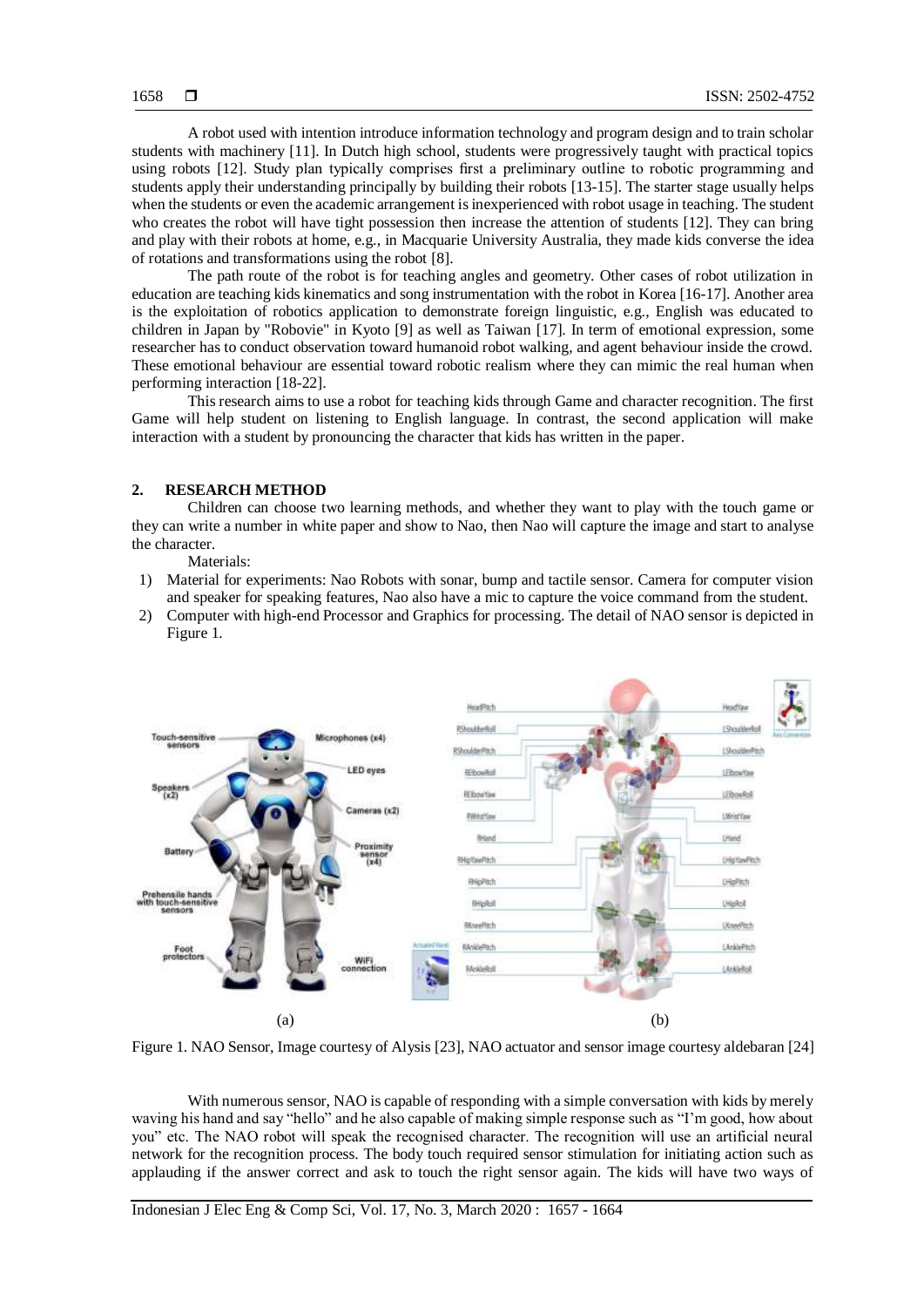A robot used with intention introduce information technology and program design and to train scholar students with machinery [11]. In Dutch high school, students were progressively taught with practical topics using robots [12]. Study plan typically comprises first a preliminary outline to robotic programming and students apply their understanding principally by building their robots [13-15]. The starter stage usually helps when the students or even the academic arrangement is inexperienced with robot usage in teaching. The student who creates the robot will have tight possession then increase the attention of students [12]. They can bring and play with their robots at home, e.g., in Macquarie University Australia, they made kids converse the idea of rotations and transformations using the robot [8].

The path route of the robot is for teaching angles and geometry. Other cases of robot utilization in education are teaching kids kinematics and song instrumentation with the robot in Korea [16-17]. Another area is the exploitation of robotics application to demonstrate foreign linguistic, e.g., English was educated to children in Japan by "Robovie" in Kyoto [9] as well as Taiwan [17]. In term of emotional expression, some researcher has to conduct observation toward humanoid robot walking, and agent behaviour inside the crowd. These emotional behaviour are essential toward robotic realism where they can mimic the real human when performing interaction [18-22].

This research aims to use a robot for teaching kids through Game and character recognition. The first Game will help student on listening to English language. In contrast, the second application will make interaction with a student by pronouncing the character that kids has written in the paper.

## **2. RESEARCH METHOD**

Children can choose two learning methods, and whether they want to play with the touch game or they can write a number in white paper and show to Nao, then Nao will capture the image and start to analyse the character.

Materials:

- 1) Material for experiments: Nao Robots with sonar, bump and tactile sensor. Camera for computer vision and speaker for speaking features, Nao also have a mic to capture the voice command from the student.
- 2) Computer with high-end Processor and Graphics for processing. The detail of NAO sensor is depicted in Figure 1.



Figure 1. NAO Sensor, Image courtesy of Alysis [23], NAO actuator and sensor image courtesy aldebaran [24]

With numerous sensor, NAO is capable of responding with a simple conversation with kids by merely waving his hand and say "hello" and he also capable of making simple response such as "I'm good, how about you" etc. The NAO robot will speak the recognised character. The recognition will use an artificial neural network for the recognition process. The body touch required sensor stimulation for initiating action such as applauding if the answer correct and ask to touch the right sensor again. The kids will have two ways of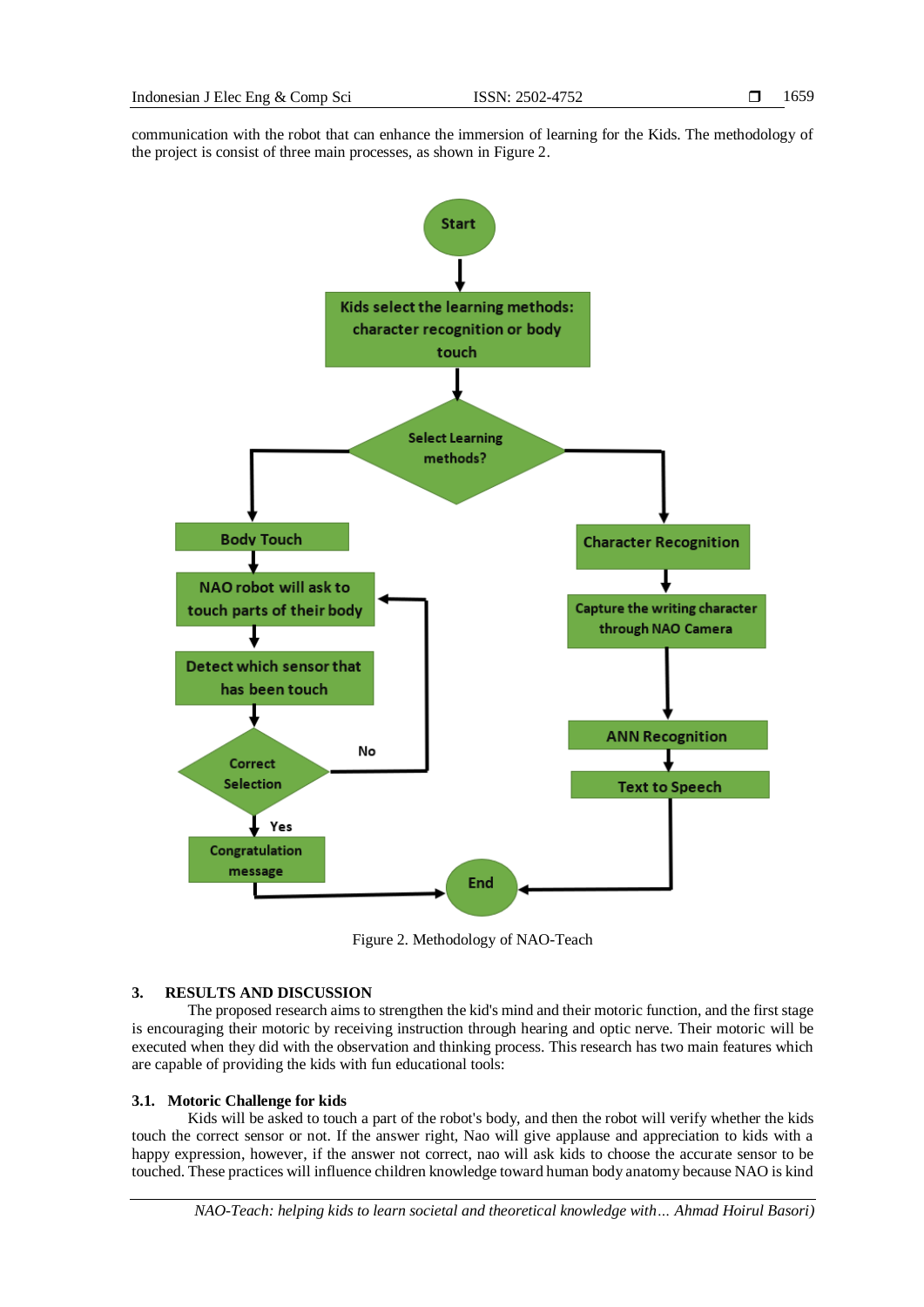communication with the robot that can enhance the immersion of learning for the Kids. The methodology of the project is consist of three main processes, as shown in Figure 2.



Figure 2. Methodology of NAO-Teach

## **3. RESULTS AND DISCUSSION**

The proposed research aims to strengthen the kid's mind and their motoric function, and the first stage is encouraging their motoric by receiving instruction through hearing and optic nerve. Their motoric will be executed when they did with the observation and thinking process. This research has two main features which are capable of providing the kids with fun educational tools:

## **3.1. Motoric Challenge for kids**

Kids will be asked to touch a part of the robot's body, and then the robot will verify whether the kids touch the correct sensor or not. If the answer right, Nao will give applause and appreciation to kids with a happy expression, however, if the answer not correct, nao will ask kids to choose the accurate sensor to be touched. These practices will influence children knowledge toward human body anatomy because NAO is kind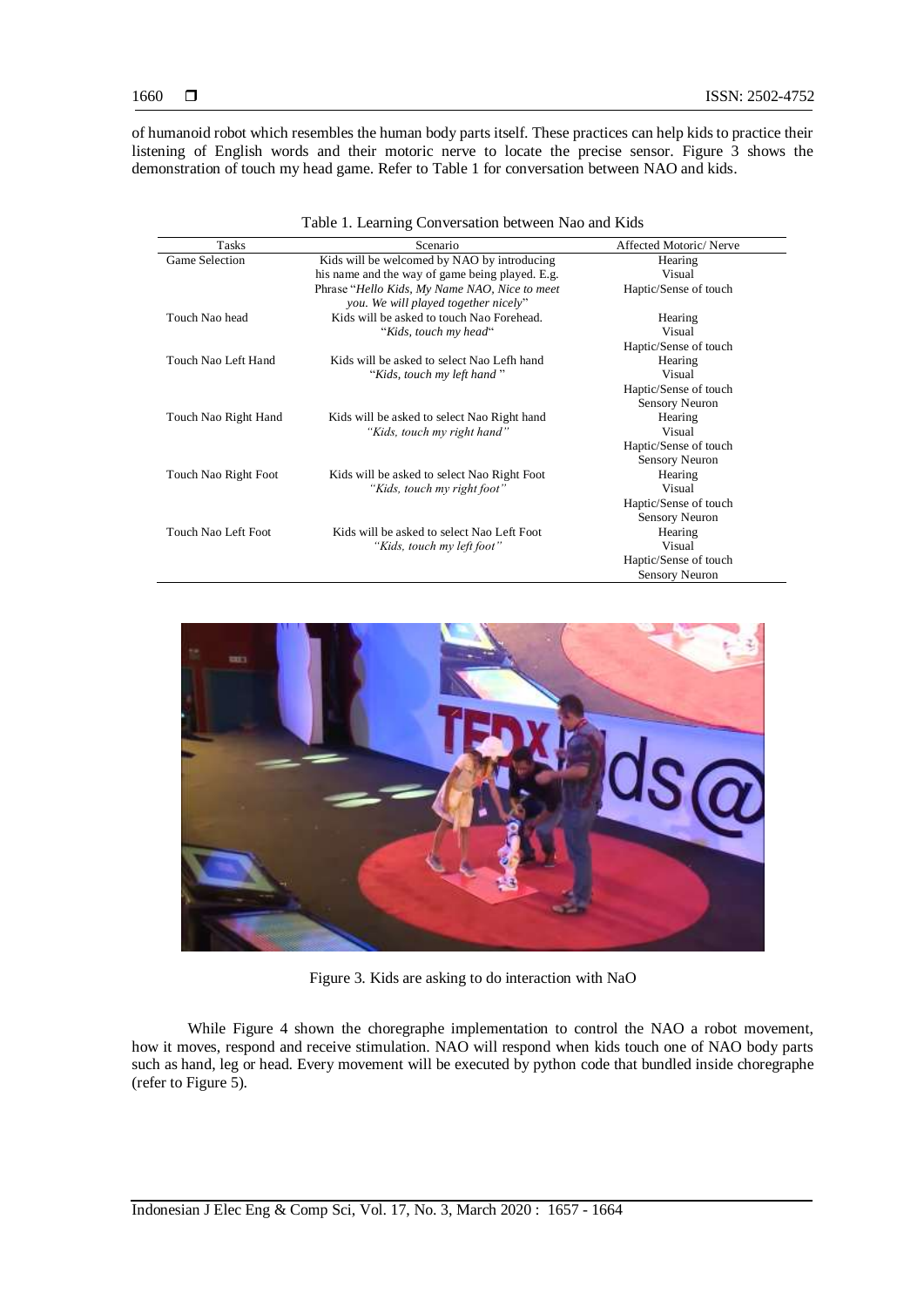of humanoid robot which resembles the human body parts itself. These practices can help kids to practice their listening of English words and their motoric nerve to locate the precise sensor. Figure 3 shows the demonstration of touch my head game. Refer to Table 1 for conversation between NAO and kids.

|                      | Table 1. Learning Conversation between Nao and Kids |                        |
|----------------------|-----------------------------------------------------|------------------------|
| Tasks                | Scenario                                            | Affected Motoric/Nerve |
| Game Selection       | Kids will be welcomed by NAO by introducing         | Hearing                |
|                      | his name and the way of game being played. E.g.     | Visual                 |
|                      | Phrase "Hello Kids, My Name NAO, Nice to meet       | Haptic/Sense of touch  |
|                      | you. We will played together nicely"                |                        |
| Touch Nao head       | Kids will be asked to touch Nao Forehead.           | Hearing                |
|                      | "Kids, touch my head"                               | Visual                 |
|                      |                                                     | Haptic/Sense of touch  |
| Touch Nao Left Hand  | Kids will be asked to select Nao Lefh hand          | Hearing                |
|                      | "Kids, touch my left hand"                          | Visual                 |
|                      |                                                     | Haptic/Sense of touch  |
|                      |                                                     | <b>Sensory Neuron</b>  |
| Touch Nao Right Hand | Kids will be asked to select Nao Right hand         | Hearing                |
|                      | "Kids, touch my right hand"                         | Visual                 |
|                      |                                                     | Haptic/Sense of touch  |
|                      |                                                     | <b>Sensory Neuron</b>  |
| Touch Nao Right Foot | Kids will be asked to select Nao Right Foot         | Hearing                |
|                      | "Kids, touch my right foot"                         | Visual                 |
|                      |                                                     | Haptic/Sense of touch  |
|                      |                                                     | <b>Sensory Neuron</b>  |
| Touch Nao Left Foot  | Kids will be asked to select Nao Left Foot          | Hearing                |
|                      | "Kids, touch my left foot"                          | Visual                 |
|                      |                                                     | Haptic/Sense of touch  |
|                      |                                                     | <b>Sensory Neuron</b>  |



Figure 3. Kids are asking to do interaction with NaO

While Figure 4 shown the choregraphe implementation to control the NAO a robot movement, how it moves, respond and receive stimulation. NAO will respond when kids touch one of NAO body parts such as hand, leg or head. Every movement will be executed by python code that bundled inside choregraphe (refer to Figure 5).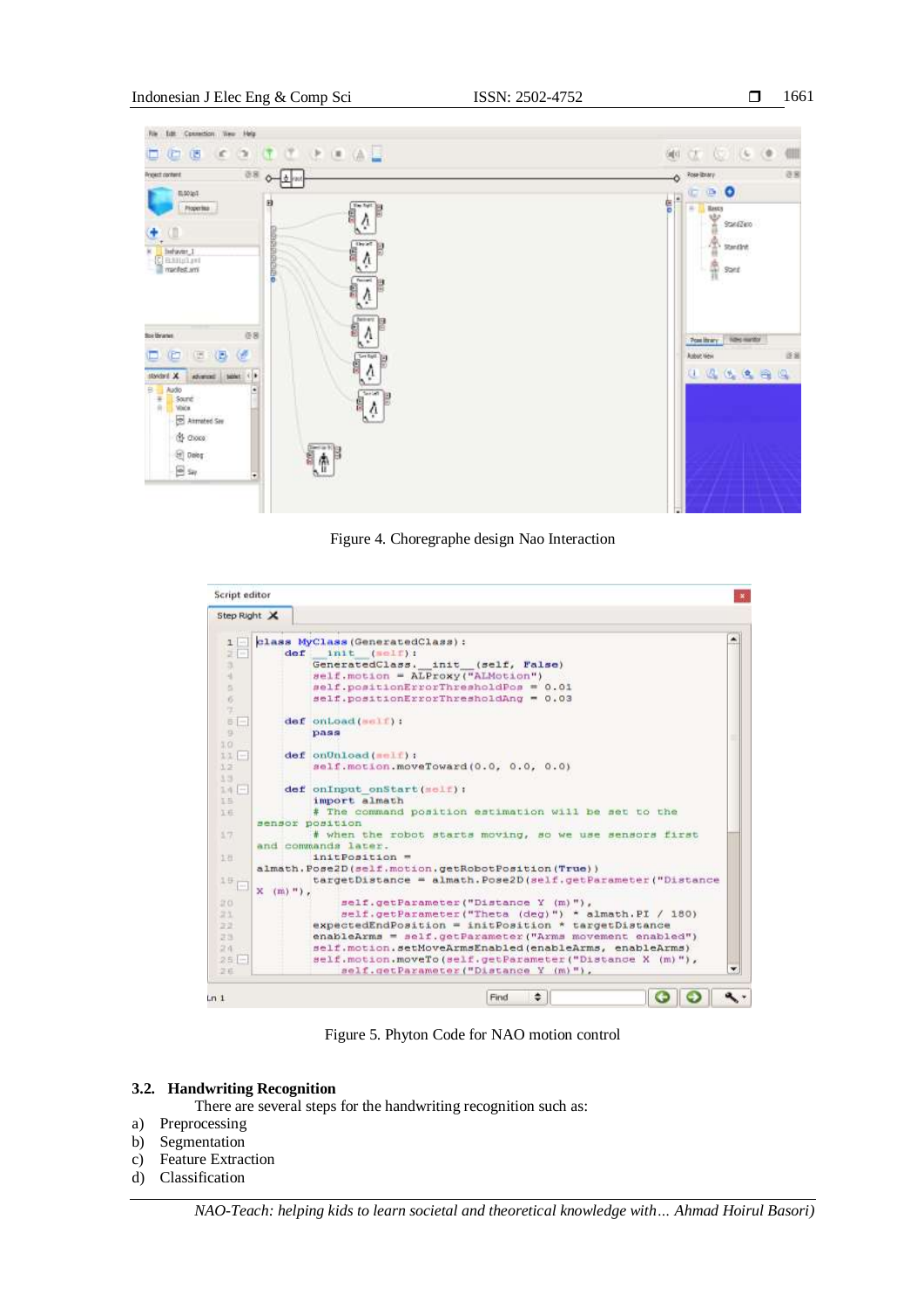

Figure 4. Choregraphe design Nao Interaction

| Script editor         |                                                                                                 |   |
|-----------------------|-------------------------------------------------------------------------------------------------|---|
| Step Right X          |                                                                                                 |   |
| $\mathbf{1}$          | class MyClass (GeneratedClass):                                                                 | ۸ |
| 병<br>$\frac{1}{2}$    | init (self):<br>def                                                                             |   |
| 3                     | GeneratedClass, init (self, False)                                                              |   |
| a                     | self.motion = ALProxy("ALMotion")                                                               |   |
| ö.                    | self.positionErrorThresholdPos = 0.01                                                           |   |
| $\overline{6}$<br>×.  | self.positionErrorThresholdAng = 0.03                                                           |   |
| 6<br>÷.               | def onLoad(self):                                                                               |   |
| $\overline{a}$        | pass                                                                                            |   |
| 10                    |                                                                                                 |   |
| 11 -                  | def onUnload(self);                                                                             |   |
| 12                    | self.motion.moveToward(0.0, 0.0, 0.0)                                                           |   |
| 33                    |                                                                                                 |   |
| $14 -$                | def onInput onStart(self);<br>import almath                                                     |   |
| 15<br>3.40            | # The command position estimation will be set to the                                            |   |
|                       | sensor position                                                                                 |   |
| 17                    | # when the robot starts moving, so we use sensors first                                         |   |
|                       | and commands later.                                                                             |   |
| 上击                    | initPosition =                                                                                  |   |
|                       | almath. Pose2D (self. motion. getRobotPosition (True))                                          |   |
| 19                    | targetDistance = almath. Pose2D (self.getParameter("Distance                                    |   |
| $\scriptstyle\rm{+1}$ | x<br>$(m)$ ").                                                                                  |   |
| 20                    | self.getParameter("Distance Y (m)"),                                                            |   |
| 定义                    | self.getParameter("Theta (deg)") * almath.PI / 180)                                             |   |
| 22                    | expectedEndPosition = initPosition * targetDistance                                             |   |
| 23                    | enableArms = self.getParameter("Arms movement enabled")                                         |   |
| 2.4                   | self.motion.setMoveArmsEnabled(enableArms, enableArms)                                          |   |
| $25 -$<br>26          | self.motion.moveTo(self.getParameter("Distance X (m)"),<br>self.getParameter("Distance Y (m)"), | × |
|                       |                                                                                                 |   |
| Ln <sub>1</sub>       | ٠<br>Find                                                                                       |   |

Figure 5. Phyton Code for NAO motion control

## **3.2. Handwriting Recognition**

There are several steps for the handwriting recognition such as:

- a) Preprocessing
- b) Segmentation
- c) Feature Extraction
- d) Classification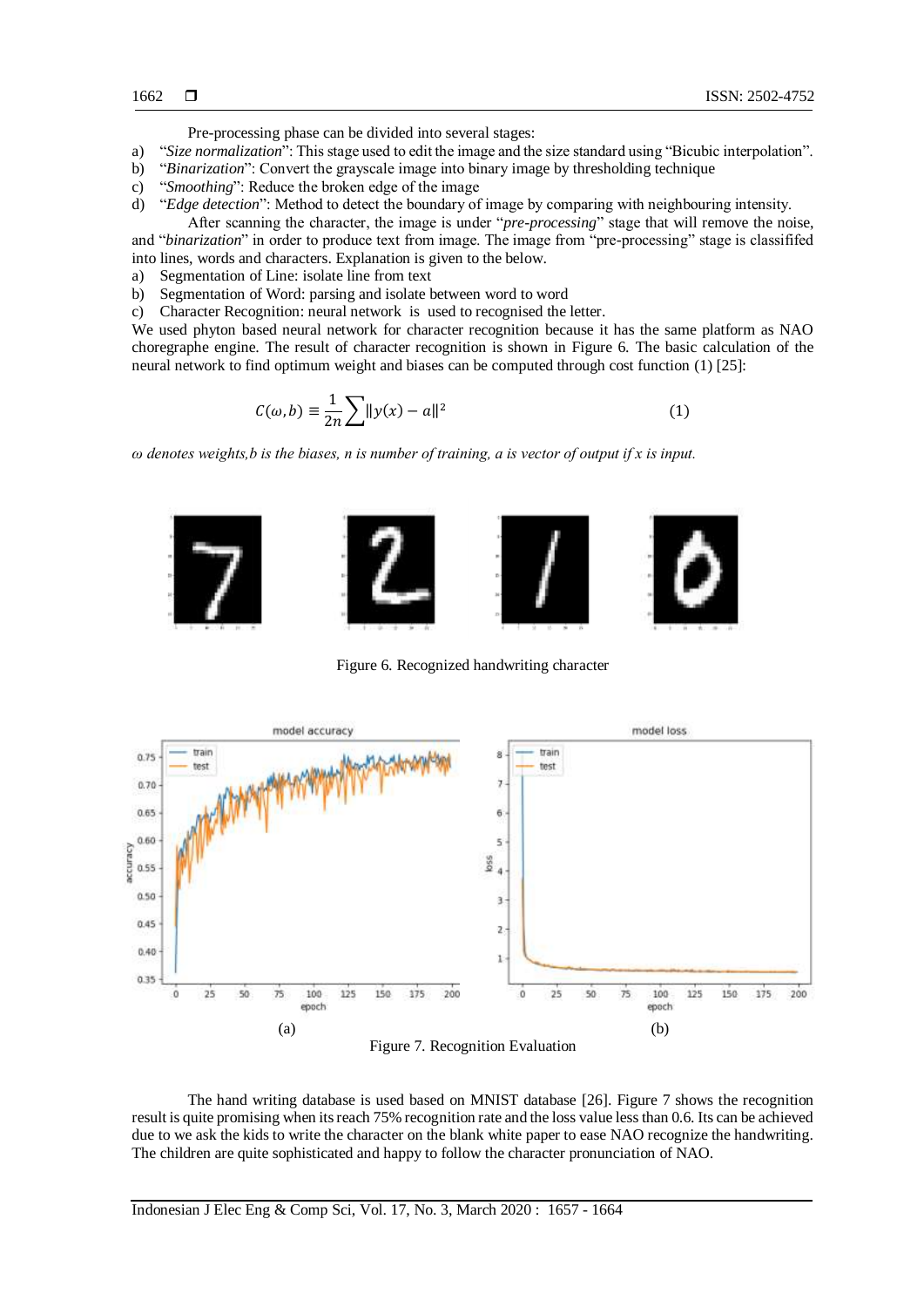Pre-processing phase can be divided into several stages:

- a) "*Size normalization*": This stage used to edit the image and the size standard using "Bicubic interpolation".
- b) "*Binarization*": Convert the grayscale image into binary image by thresholding technique
- c) "*Smoothing*": Reduce the broken edge of the image
- d) "*Edge detection*": Method to detect the boundary of image by comparing with neighbouring intensity.

After scanning the character, the image is under "*pre-processing*" stage that will remove the noise, and "*binarization*" in order to produce text from image. The image from "pre-processing" stage is classififed into lines, words and characters. Explanation is given to the below.

- a) Segmentation of Line: isolate line from text
- b) Segmentation of Word: parsing and isolate between word to word
- c) Character Recognition: neural network is used to recognised the letter.

We used phyton based neural network for character recognition because it has the same platform as NAO choregraphe engine. The result of character recognition is shown in Figure 6. The basic calculation of the neural network to find optimum weight and biases can be computed through cost function (1) [25]:

$$
C(\omega, b) \equiv \frac{1}{2n} \sum ||y(x) - a||^2
$$
 (1)

*ω denotes weights,b is the biases, n is number of training, a is vector of output if x is input.*



Figure 6. Recognized handwriting character



The hand writing database is used based on MNIST database [26]. Figure 7 shows the recognition result is quite promising when its reach 75% recognition rate and the loss value less than 0.6. Its can be achieved due to we ask the kids to write the character on the blank white paper to ease NAO recognize the handwriting. The children are quite sophisticated and happy to follow the character pronunciation of NAO.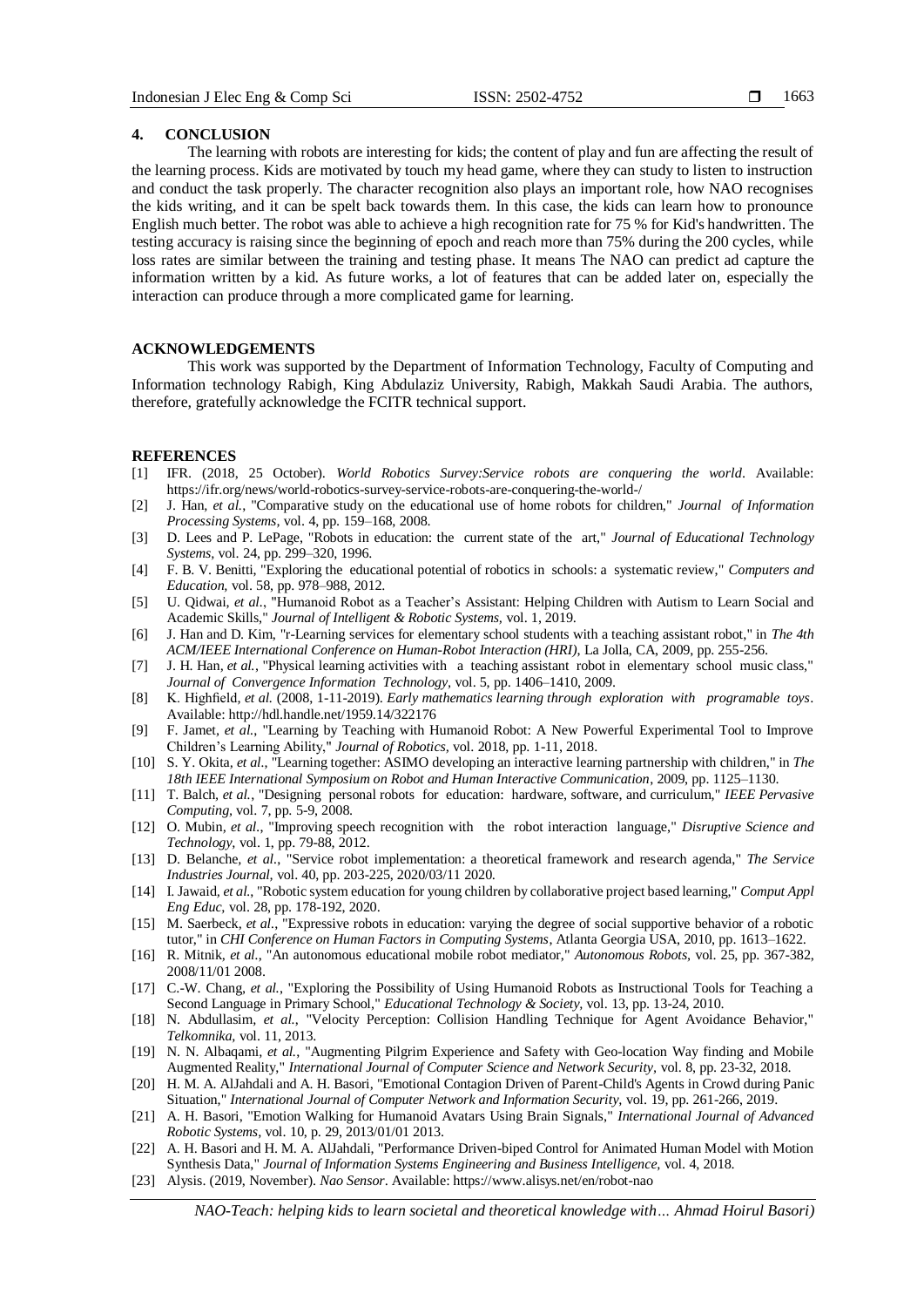#### **4. CONCLUSION**

The learning with robots are interesting for kids; the content of play and fun are affecting the result of the learning process. Kids are motivated by touch my head game, where they can study to listen to instruction and conduct the task properly. The character recognition also plays an important role, how NAO recognises the kids writing, and it can be spelt back towards them. In this case, the kids can learn how to pronounce English much better. The robot was able to achieve a high recognition rate for 75 % for Kid's handwritten. The testing accuracy is raising since the beginning of epoch and reach more than 75% during the 200 cycles, while loss rates are similar between the training and testing phase. It means The NAO can predict ad capture the information written by a kid. As future works, a lot of features that can be added later on, especially the interaction can produce through a more complicated game for learning.

## **ACKNOWLEDGEMENTS**

This work was supported by the Department of Information Technology, Faculty of Computing and Information technology Rabigh, King Abdulaziz University, Rabigh, Makkah Saudi Arabia. The authors, therefore, gratefully acknowledge the FCITR technical support.

#### **REFERENCES**

- [1] IFR. (2018, 25 October). *World Robotics Survey:Service robots are conquering the world*. Available: https://ifr.org/news/world-robotics-survey-service-robots-are-conquering-the-world-/
- [2] J. Han*, et al.*, "Comparative study on the educational use of home robots for children," *Journal of Information Processing Systems,* vol. 4, pp. 159–168, 2008.
- [3] D. Lees and P. LePage, "Robots in education: the current state of the art," *Journal of Educational Technology Systems,* vol. 24, pp. 299–320, 1996.
- [4] F. B. V. Benitti, "Exploring the educational potential of robotics in schools: a systematic review," *Computers and Education,* vol. 58, pp. 978–988, 2012.
- [5] U. Qidwai*, et al.*, "Humanoid Robot as a Teacher's Assistant: Helping Children with Autism to Learn Social and Academic Skills," *Journal of Intelligent & Robotic Systems,* vol. 1, 2019.
- [6] J. Han and D. Kim, "r-Learning services for elementary school students with a teaching assistant robot," in *The 4th ACM/IEEE International Conference on Human-Robot Interaction (HRI)*, La Jolla, CA, 2009, pp. 255-256.
- [7] J. H. Han*, et al.*, "Physical learning activities with a teaching assistant robot in elementary school music class," *Journal of Convergence Information Technology,* vol. 5, pp. 1406–1410, 2009.
- [8] K. Highfield*, et al.* (2008, 1-11-2019). *Early mathematics learning through exploration with programable toys*. Available: http://hdl.handle.net/1959.14/322176
- [9] F. Jamet*, et al.*, "Learning by Teaching with Humanoid Robot: A New Powerful Experimental Tool to Improve Children's Learning Ability," *Journal of Robotics,* vol. 2018, pp. 1-11, 2018.
- [10] S. Y. Okita*, et al.*, "Learning together: ASIMO developing an interactive learning partnership with children," in *The 18th IEEE International Symposium on Robot and Human Interactive Communication*, 2009, pp. 1125–1130.
- [11] T. Balch*, et al.*, "Designing personal robots for education: hardware, software, and curriculum," *IEEE Pervasive Computing,* vol. 7, pp. 5-9, 2008.
- [12] O. Mubin*, et al.*, "Improving speech recognition with the robot interaction language," *Disruptive Science and Technology,* vol. 1, pp. 79-88, 2012.
- [13] D. Belanche*, et al.*, "Service robot implementation: a theoretical framework and research agenda," *The Service Industries Journal,* vol. 40, pp. 203-225, 2020/03/11 2020.
- [14] I. Jawaid*, et al.*, "Robotic system education for young children by collaborative project based learning," *Comput Appl Eng Educ,* vol. 28, pp. 178-192, 2020.
- [15] M. Saerbeck*, et al.*, "Expressive robots in education: varying the degree of social supportive behavior of a robotic tutor," in *CHI Conference on Human Factors in Computing Systems*, Atlanta Georgia USA, 2010, pp. 1613–1622.
- [16] R. Mitnik*, et al.*, "An autonomous educational mobile robot mediator," *Autonomous Robots,* vol. 25, pp. 367-382, 2008/11/01 2008.
- [17] C.-W. Chang*, et al.*, "Exploring the Possibility of Using Humanoid Robots as Instructional Tools for Teaching a Second Language in Primary School," *Educational Technology & Society,* vol. 13, pp. 13-24, 2010.
- [18] N. Abdullasim*, et al.*, "Velocity Perception: Collision Handling Technique for Agent Avoidance Behavior," *Telkomnika,* vol. 11, 2013.
- [19] N. N. Albaqami*, et al.*, "Augmenting Pilgrim Experience and Safety with Geo-location Way finding and Mobile Augmented Reality," *International Journal of Computer Science and Network Security,* vol. 8, pp. 23-32, 2018.
- [20] H. M. A. AlJahdali and A. H. Basori, "Emotional Contagion Driven of Parent-Child's Agents in Crowd during Panic Situation," *International Journal of Computer Network and Information Security,* vol. 19, pp. 261-266, 2019.
- [21] A. H. Basori, "Emotion Walking for Humanoid Avatars Using Brain Signals," *International Journal of Advanced Robotic Systems,* vol. 10, p. 29, 2013/01/01 2013.
- [22] A. H. Basori and H. M. A. AlJahdali, "Performance Driven-biped Control for Animated Human Model with Motion Synthesis Data," *Journal of Information Systems Engineering and Business Intelligence,* vol. 4, 2018.
- [23] Alysis. (2019, November). *Nao Sensor*. Available: https://www.alisys.net/en/robot-nao